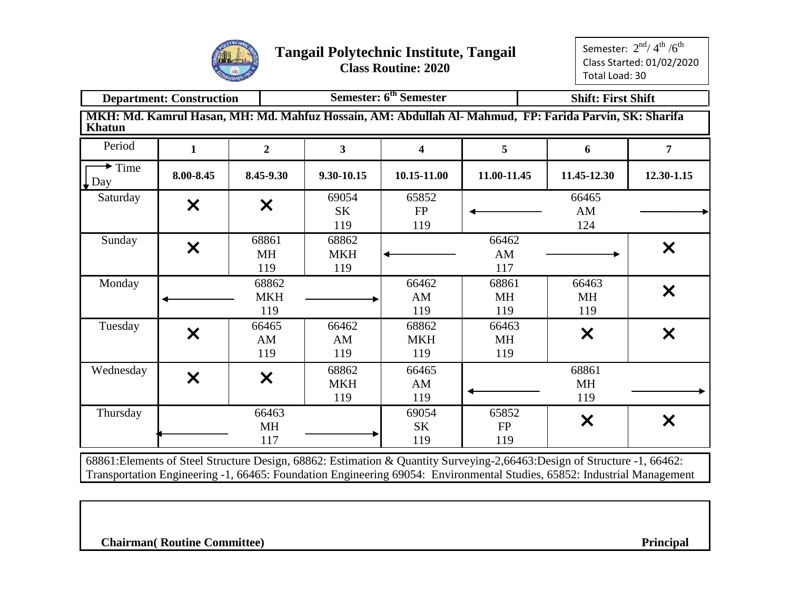

Semester:  $2^{\rm nd}$ / 4 $^{\rm th}$  / $6^{\rm th}$ Class Started: 01/02/2020 Total Load: 30

|                                                                                                                                         | <b>Department: Construction</b> |                           |                            | Semester: 6 <sup>th</sup> Semester |                           | <b>Shift: First Shift</b>                                                                                                                                                                                                                            |            |  |  |  |  |  |
|-----------------------------------------------------------------------------------------------------------------------------------------|---------------------------------|---------------------------|----------------------------|------------------------------------|---------------------------|------------------------------------------------------------------------------------------------------------------------------------------------------------------------------------------------------------------------------------------------------|------------|--|--|--|--|--|
| <b>Khatun</b>                                                                                                                           |                                 |                           |                            |                                    |                           | MKH: Md. Kamrul Hasan, MH: Md. Mahfuz Hossain, AM: Abdullah Al- Mahmud, FP: Farida Parvin, SK: Sharifa                                                                                                                                               |            |  |  |  |  |  |
| Period                                                                                                                                  | 1                               | $\overline{2}$            | 3                          | 4                                  | 5                         | 6                                                                                                                                                                                                                                                    | 7          |  |  |  |  |  |
| $\rightarrow$ Time<br>$\downarrow$ Day                                                                                                  | 8.00-8.45                       | 8.45-9.30                 | 9.30-10.15                 | 10.15-11.00                        | 11.00-11.45               | 11.45-12.30                                                                                                                                                                                                                                          | 12.30-1.15 |  |  |  |  |  |
| Saturday                                                                                                                                | $\boldsymbol{\mathsf{X}}$       | $\boldsymbol{\mathsf{X}}$ | 69054<br><b>SK</b><br>119  | 65852<br><b>FP</b><br>119          |                           | 66465<br>AM<br>124                                                                                                                                                                                                                                   |            |  |  |  |  |  |
| 68861<br>66462<br>68862<br>Sunday<br>$\bm{x}$<br><b>MH</b><br><b>MKH</b><br>AM<br>119<br>117<br>119<br>68862<br>66463<br>66462<br>68861 |                                 |                           |                            |                                    |                           |                                                                                                                                                                                                                                                      |            |  |  |  |  |  |
| Monday                                                                                                                                  |                                 | <b>MKH</b><br>119         |                            | AM<br>119                          | <b>MH</b><br>119          | $\boldsymbol{\mathsf{x}}$                                                                                                                                                                                                                            |            |  |  |  |  |  |
| Tuesday                                                                                                                                 | $\bm{\mathsf{x}}$               | 66465<br>AM<br>119        | 66462<br>AM<br>119         | 68862<br><b>MKH</b><br>119         | 66463<br><b>MH</b><br>119 | $\boldsymbol{\mathsf{X}}$<br>X                                                                                                                                                                                                                       |            |  |  |  |  |  |
| Wednesday                                                                                                                               | $\boldsymbol{\mathsf{X}}$       | $\boldsymbol{\mathsf{X}}$ | 68862<br><b>MKH</b><br>119 | 66465<br>AM<br>119                 |                           | 68861<br><b>MH</b><br>119                                                                                                                                                                                                                            |            |  |  |  |  |  |
| Thursday                                                                                                                                |                                 | 66463<br><b>MH</b><br>117 |                            | 69054<br><b>SK</b><br>119          | 65852<br>FP<br>119        | $\bm{\times}$                                                                                                                                                                                                                                        | X          |  |  |  |  |  |
|                                                                                                                                         |                                 |                           |                            |                                    |                           | 68861: Elements of Steel Structure Design, 68862: Estimation & Quantity Surveying-2,66463: Design of Structure -1, 66462:<br>Transportation Engineering -1, 66465: Foundation Engineering 69054: Environmental Studies, 65852: Industrial Management |            |  |  |  |  |  |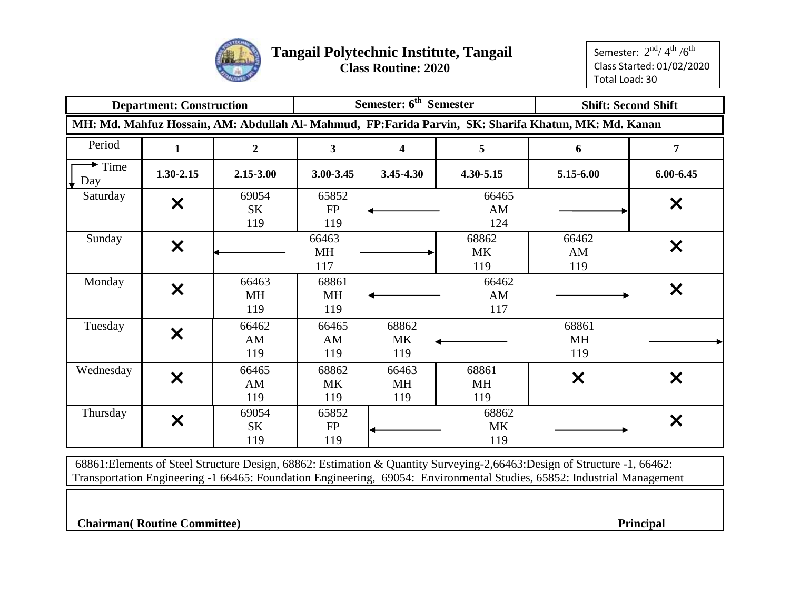

|                                   | <b>Department: Construction</b> |                           |                           | Semester: 6 <sup>th</sup> Semester |                    |                                                                                                      | <b>Shift: Second Shift</b> |
|-----------------------------------|---------------------------------|---------------------------|---------------------------|------------------------------------|--------------------|------------------------------------------------------------------------------------------------------|----------------------------|
|                                   |                                 |                           |                           |                                    |                    | MH: Md. Mahfuz Hossain, AM: Abdullah Al- Mahmud, FP:Farida Parvin, SK: Sharifa Khatun, MK: Md. Kanan |                            |
| Period                            | 1                               | $\mathbf{2}$              | $\mathbf{3}$              | 4                                  | 5                  | 6                                                                                                    | 7                          |
| $\blacktriangleright$ Time<br>Day | $1.30 - 2.15$                   | 2.15-3.00                 | 3.00-3.45                 | 3.45-4.30                          | 4.30-5.15          | 5.15-6.00                                                                                            | $6.00 - 6.45$              |
| Saturday                          | $\boldsymbol{\mathsf{X}}$       | 69054<br>SK<br>119        | 65852<br>FP<br>119        |                                    | 66465<br>AM<br>124 |                                                                                                      | $\boldsymbol{\mathsf{x}}$  |
| Sunday                            | $\boldsymbol{\mathsf{X}}$       |                           | 66463<br>MH<br>117        |                                    | 68862<br>MK<br>119 | 66462<br>AM<br>119                                                                                   | $\boldsymbol{\mathsf{X}}$  |
| Monday                            | $\boldsymbol{\mathsf{X}}$       | 66463<br><b>MH</b><br>119 | 68861<br><b>MH</b><br>119 |                                    | 66462<br>AM<br>117 |                                                                                                      | $\boldsymbol{\mathsf{X}}$  |
| Tuesday                           | $\bm{\times}$                   | 66462<br>AM<br>119        | 66465<br>AM<br>119        | 68862<br><b>MK</b><br>119          |                    | 68861<br><b>MH</b><br>119                                                                            |                            |
| Wednesday                         | $\bm{\times}$                   | 66465<br>AM<br>119        | 68862<br><b>MK</b><br>119 | 66463<br><b>MH</b><br>119          | 68861<br>MH<br>119 | $\boldsymbol{\mathsf{X}}$                                                                            | $\boldsymbol{\mathsf{X}}$  |
| Thursday                          | $\bm{\mathsf{x}}$               | 69054<br>SK<br>119        | 65852<br>FP<br>119        |                                    | 68862<br>MK<br>119 |                                                                                                      | X                          |

68861:Elements of Steel Structure Design, 68862: Estimation & Quantity Surveying-2,66463:Design of Structure -1, 66462: Transportation Engineering -1 66465: Foundation Engineering, 69054: Environmental Studies, 65852: Industrial Management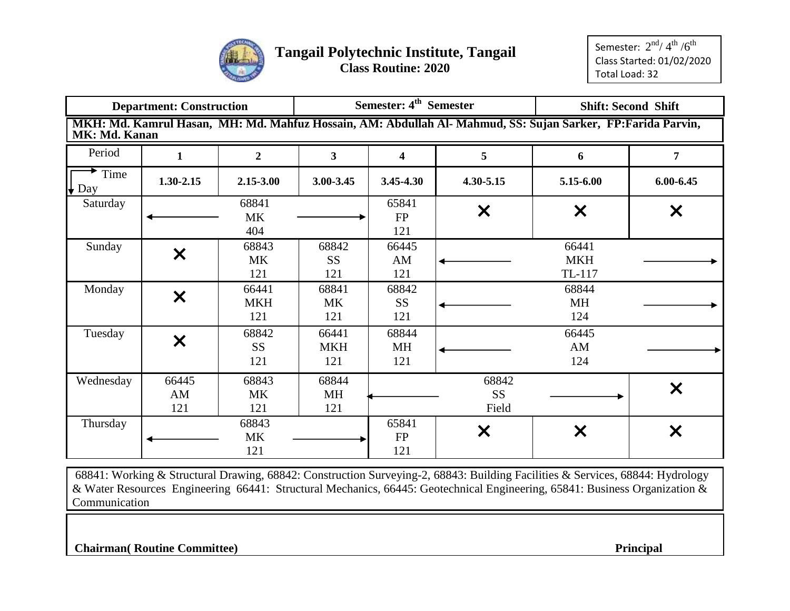

|                  | <b>Department: Construction</b> |                            |                               | Semester: 4 <sup>th</sup> Semester |                             |                                                                                                             | <b>Shift: Second Shift</b> |
|------------------|---------------------------------|----------------------------|-------------------------------|------------------------------------|-----------------------------|-------------------------------------------------------------------------------------------------------------|----------------------------|
| MK: Md. Kanan    |                                 |                            |                               |                                    |                             | MKH: Md. Kamrul Hasan, MH: Md. Mahfuz Hossain, AM: Abdullah Al- Mahmud, SS: Sujan Sarker, FP:Farida Parvin, |                            |
| Period           | $\mathbf 1$                     | $\overline{2}$             | $\mathbf{3}$                  | 4                                  | 5                           | 6                                                                                                           | 7                          |
| Time<br>Day<br>╈ | $1.30 - 2.15$                   | 2.15-3.00                  | 3.00-3.45                     | 3.45-4.30                          | 4.30-5.15                   | 5.15-6.00                                                                                                   | 6.00-6.45                  |
| Saturday         |                                 | 68841<br><b>MK</b><br>404  |                               | 65841<br>FP<br>121                 | X                           | X                                                                                                           | X                          |
| Sunday           | $\bm{\mathsf{x}}$               | 68843<br>MK<br>121         | 66441<br><b>MKH</b><br>TL-117 |                                    |                             |                                                                                                             |                            |
| Monday           | $\boldsymbol{\mathsf{X}}$       | 66441<br><b>MKH</b><br>121 | 68841<br><b>MK</b><br>121     | 68842<br><b>SS</b><br>121          |                             | 68844<br><b>MH</b><br>124                                                                                   |                            |
| Tuesday          | $\bm{\mathsf{x}}$               | 68842<br><b>SS</b><br>121  | 66441<br><b>MKH</b><br>121    | 68844<br>MH<br>121                 |                             | 66445<br>AM<br>124                                                                                          |                            |
| Wednesday        | 66445<br>AM<br>121              | 68843<br><b>MK</b><br>121  | 68844<br>MH<br>121            |                                    | 68842<br><b>SS</b><br>Field |                                                                                                             | $\bm{\mathsf{x}}$          |
| Thursday         |                                 | 68843<br><b>MK</b><br>121  |                               | 65841<br>${\rm FP}$<br>121         | $\bm{\times}$               | X                                                                                                           | $\bm{\mathsf{x}}$          |

68841: Working & Structural Drawing, 68842: Construction Surveying-2, 68843: Building Facilities & Services, 68844: Hydrology & Water Resources Engineering 66441: Structural Mechanics, 66445: Geotechnical Engineering, 65841: Business Organization & Communication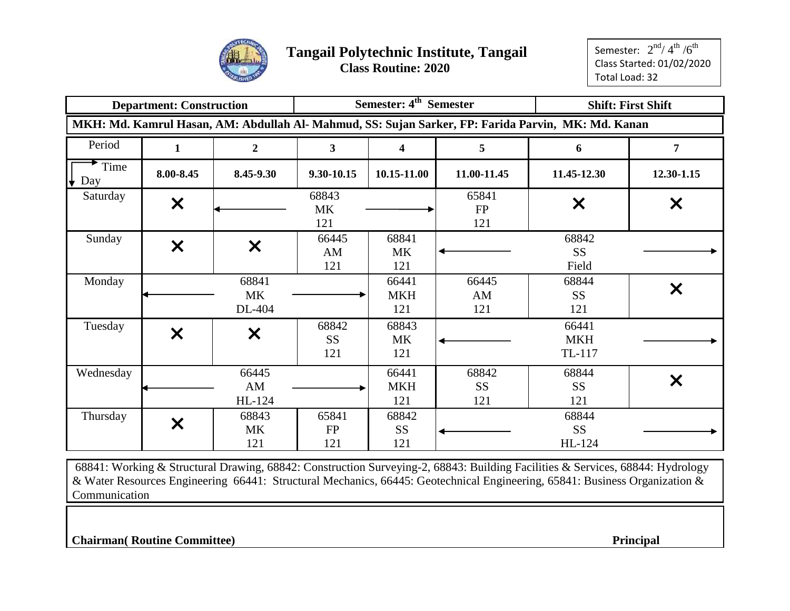

|             | <b>Department: Construction</b> |                              |                           | Semester: 4 <sup>th</sup> Semester |                                 |                                                                                                    | <b>Shift: First Shift</b> |
|-------------|---------------------------------|------------------------------|---------------------------|------------------------------------|---------------------------------|----------------------------------------------------------------------------------------------------|---------------------------|
|             |                                 |                              |                           |                                    |                                 | MKH: Md. Kamrul Hasan, AM: Abdullah Al- Mahmud, SS: Sujan Sarker, FP: Farida Parvin, MK: Md. Kanan |                           |
| Period      | $\mathbf{1}$                    | $\overline{2}$               | $\overline{\mathbf{3}}$   | $\overline{\mathbf{4}}$            | 5                               | 6                                                                                                  | 7                         |
| Time<br>Day | 8.00-8.45                       | 8.45-9.30                    | 9.30-10.15                | 10.15-11.00                        | 11.00-11.45                     | 11.45-12.30                                                                                        | 12.30-1.15                |
| Saturday    | $\bm{\times}$                   |                              | 68843<br><b>MK</b><br>121 |                                    | 65841<br>FP<br>121              | X                                                                                                  | X                         |
| Sunday      | $\bm{\times}$                   | $\bm{\times}$                | 66445<br>AM<br>121        | 68841<br><b>MK</b><br>121          |                                 | 68842<br><b>SS</b><br>Field                                                                        |                           |
| Monday      |                                 | 68841<br><b>MK</b><br>DL-404 |                           | 66441<br><b>MKH</b><br>121         | 66445<br>AM<br>121              | 68844<br><b>SS</b><br>121                                                                          | $\bm{\mathsf{x}}$         |
| Tuesday     | $\bm{\times}$                   | $\bm{\mathsf{x}}$            | 68842<br><b>SS</b><br>121 | 68843<br><b>MK</b><br>121          |                                 | 66441<br><b>MKH</b><br>TL-117                                                                      |                           |
| Wednesday   |                                 | 66445<br>AM<br>HL-124        |                           | 66441<br><b>MKH</b><br>121         | 68842<br>SS <sub>1</sub><br>121 | 68844<br><b>SS</b><br>121                                                                          | X                         |
| Thursday    | $\bm{\times}$                   | 68843<br><b>MK</b><br>121    | 65841<br>FP<br>121        | 68842<br><b>SS</b><br>121          |                                 | 68844<br><b>SS</b><br>HL-124                                                                       |                           |

68841: Working & Structural Drawing, 68842: Construction Surveying-2, 68843: Building Facilities & Services, 68844: Hydrology & Water Resources Engineering 66441: Structural Mechanics, 66445: Geotechnical Engineering, 65841: Business Organization & Communication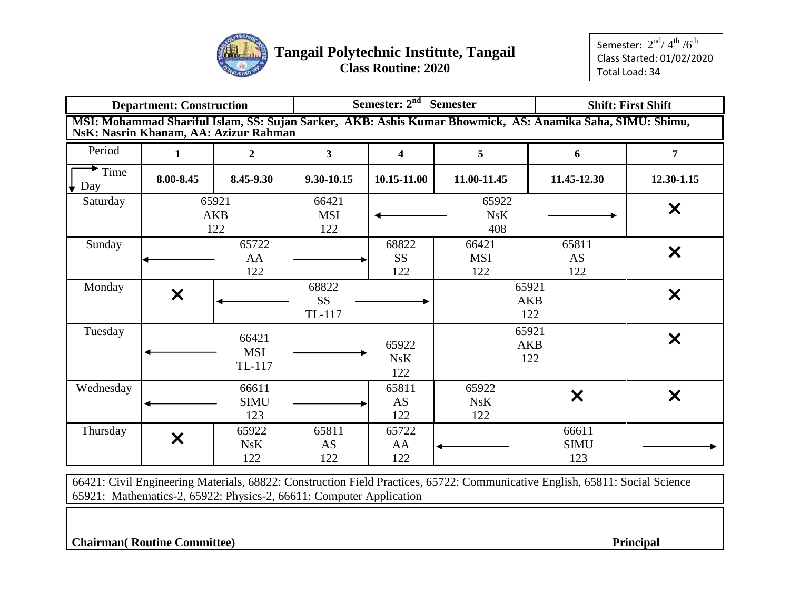

|                  | <b>Department: Construction</b> |                                       | Semester: 2 <sup>nd</sup> Semester<br><b>Shift: First Shift</b><br>MSI: Mohammad Shariful Islam, SS: Sujan Sarker, AKB: Ashis Kumar Bhowmick, AS: Anamika Saha, SIMU: Shimu, |                           |                            |                             |                           |  |  |  |  |
|------------------|---------------------------------|---------------------------------------|------------------------------------------------------------------------------------------------------------------------------------------------------------------------------|---------------------------|----------------------------|-----------------------------|---------------------------|--|--|--|--|
|                  |                                 | NsK: Nasrin Khanam, AA: Azizur Rahman |                                                                                                                                                                              |                           |                            |                             |                           |  |  |  |  |
| Period           | 1                               | $\overline{2}$                        | 3 <sup>1</sup>                                                                                                                                                               | 4                         | 5                          | 6                           | $\overline{7}$            |  |  |  |  |
| Time<br>Day<br>₩ | 8.00-8.45                       | 8.45-9.30                             | 9.30-10.15                                                                                                                                                                   | 10.15-11.00               | 11.00-11.45                | 11.45-12.30                 | 12.30-1.15                |  |  |  |  |
| Saturday         |                                 | 65921<br><b>AKB</b><br>122            | 66421<br><b>MSI</b><br>122                                                                                                                                                   |                           | 65922<br>NsK<br>408        |                             | $\boldsymbol{\mathsf{X}}$ |  |  |  |  |
| Sunday           |                                 | 65722<br>AA<br>122                    |                                                                                                                                                                              | 68822<br><b>SS</b><br>122 | 66421<br><b>MSI</b><br>122 | 65811<br>AS<br>122          | $\boldsymbol{\mathsf{x}}$ |  |  |  |  |
| Monday           | $\boldsymbol{\mathsf{X}}$       |                                       | 68822<br><b>SS</b><br>TL-117                                                                                                                                                 |                           |                            | 65921<br><b>AKB</b><br>122  | $\boldsymbol{\mathsf{X}}$ |  |  |  |  |
| Tuesday          |                                 | 66421<br><b>MSI</b><br>TL-117         |                                                                                                                                                                              | 65922<br>NsK<br>122       |                            | 65921<br><b>AKB</b><br>122  | $\bm{\mathsf{X}}$         |  |  |  |  |
| Wednesday        |                                 | 66611<br><b>SIMU</b><br>123           |                                                                                                                                                                              | 65811<br>AS<br>122        | 65922<br>NsK<br>122        | $\boldsymbol{\mathsf{X}}$   | $\boldsymbol{\mathsf{X}}$ |  |  |  |  |
| Thursday         | X                               | 65922<br>NsK<br>122                   | 65811<br>AS<br>122                                                                                                                                                           | 65722<br>AA<br>122        |                            | 66611<br><b>SIMU</b><br>123 |                           |  |  |  |  |

66421: Civil Engineering Materials, 68822: Construction Field Practices, 65722: Communicative English, 65811: Social Science 65921: Mathematics-2, 65922: Physics-2, 66611: Computer Application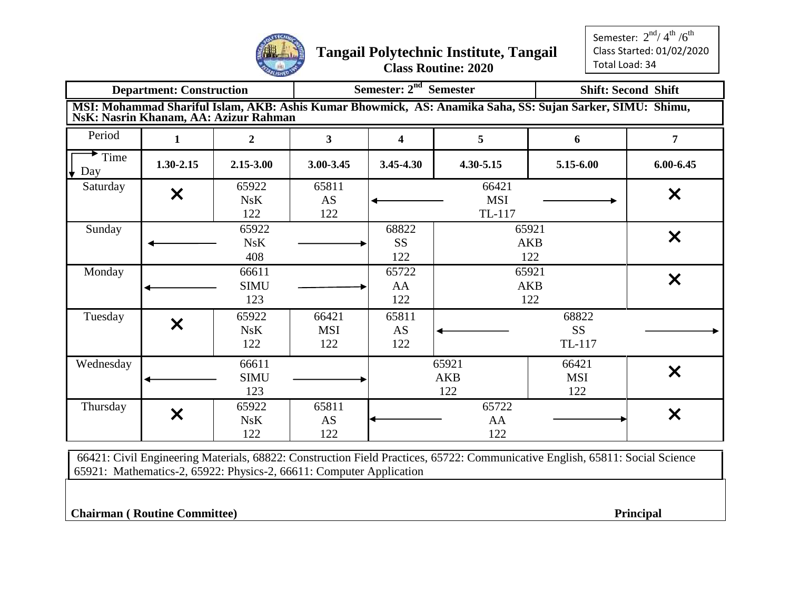

Semester:  $2^{\text{nd}}$ / $4^{\text{th}}$  / $6^{\text{th}}$ Class Started: 01/02/2020 Total Load: 34

|                                        | <b>Department: Construction</b> |                                       |                            | Semester: 2 <sup>nd</sup> Semester      |                               |                                                                                                           | <b>Shift: Second Shift</b> |  |  |
|----------------------------------------|---------------------------------|---------------------------------------|----------------------------|-----------------------------------------|-------------------------------|-----------------------------------------------------------------------------------------------------------|----------------------------|--|--|
|                                        |                                 | NsK: Nasrin Khanam, AA: Azizur Rahman |                            |                                         |                               | MSI: Mohammad Shariful Islam, AKB: Ashis Kumar Bhowmick, AS: Anamika Saha, SS: Sujan Sarker, SIMU: Shimu, |                            |  |  |
| Period                                 | 1                               | $\overline{2}$                        | $\mathbf{3}$               | $\overline{\mathbf{4}}$                 | 5                             | 6                                                                                                         | 7                          |  |  |
| $\blacktriangleright$ Time<br>Day<br>₩ | 1.30-2.15                       | 2.15-3.00                             | 3.00-3.45                  | 3.45-4.30                               | 4.30-5.15                     | 5.15-6.00                                                                                                 | $6.00 - 6.45$              |  |  |
| Saturday                               | $\bm{\times}$                   | 65922<br>NsK<br>122                   | 65811<br><b>AS</b><br>122  |                                         | 66421<br><b>MSI</b><br>TL-117 |                                                                                                           | X                          |  |  |
| Sunday                                 |                                 | 65922<br>NsK<br>408                   |                            | 68822<br><b>SS</b><br>122               |                               | 65921<br><b>AKB</b><br>122                                                                                | $\bm{\times}$              |  |  |
| Monday                                 |                                 | 66611<br><b>SIMU</b><br>123           |                            | 65722<br>AA<br>122                      |                               | 65921<br><b>AKB</b><br>122                                                                                | $\bm{\times}$              |  |  |
| Tuesday                                | $\bm{\mathsf{x}}$               | 65922<br>NsK<br>122                   | 66421<br><b>MSI</b><br>122 | 65811<br>AS<br>122                      | 68822<br><b>SS</b><br>TL-117  |                                                                                                           |                            |  |  |
| Wednesday                              |                                 | 66611<br><b>SIMU</b><br>123           |                            |                                         | 65921<br><b>AKB</b><br>122    | 66421<br><b>MSI</b><br>122                                                                                | X                          |  |  |
| Thursday                               | $\bm{\times}$                   | 65922<br>NsK<br>122                   | 65811<br>AS<br>122         | 65722<br>$\bm{\mathsf{x}}$<br>AA<br>122 |                               |                                                                                                           |                            |  |  |

66421: Civil Engineering Materials, 68822: Construction Field Practices, 65722: Communicative English, 65811: Social Science 65921: Mathematics-2, 65922: Physics-2, 66611: Computer Application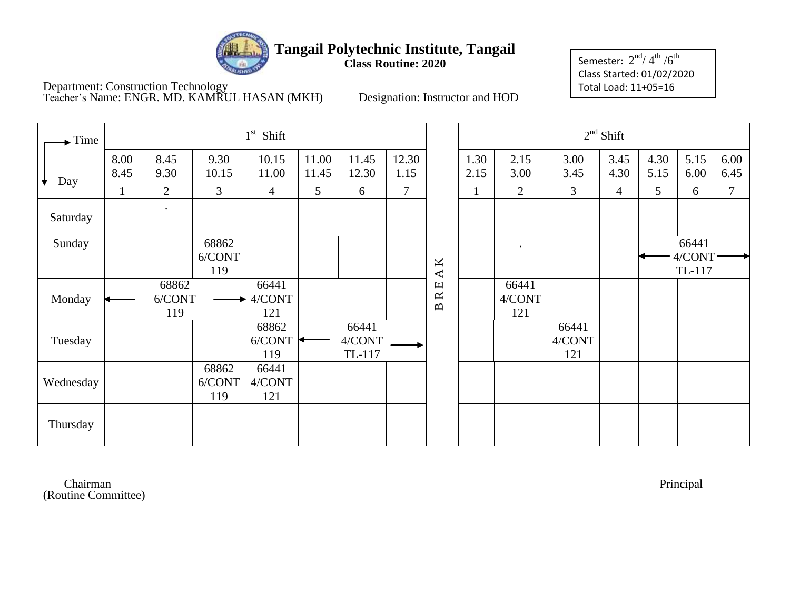

Department: Construction Technology Teacher's Name: ENGR. MD. KAMRUL HASAN (MKH) Designation: Instructor and HOD

Semester:  $2^{\rm nd}$ / $4^{\rm th}$  / $6^{\rm th}$ Class Started: 01/02/2020 Total Load: 11+05=16

| Time             |              |                |               | $1st$ Shift    |                |                |                |                          |              |              |              | $2nd$ Shift    |              |              |                 |
|------------------|--------------|----------------|---------------|----------------|----------------|----------------|----------------|--------------------------|--------------|--------------|--------------|----------------|--------------|--------------|-----------------|
| $\downarrow$ Day | 8.00<br>8.45 | 8.45<br>9.30   | 9.30<br>10.15 | 10.15<br>11.00 | 11.00<br>11.45 | 11.45<br>12.30 | 12.30<br>1.15  |                          | 1.30<br>2.15 | 2.15<br>3.00 | 3.00<br>3.45 | 3.45<br>4.30   | 4.30<br>5.15 | 5.15<br>6.00 | 6.00<br>6.45    |
|                  | $\mathbf{1}$ | $\overline{2}$ | 3             | 4              | 5              | 6              | $\overline{7}$ |                          |              | 2            | 3            | $\overline{4}$ | 5            | 6            | $7\phantom{.0}$ |
| Saturday         |              |                |               |                |                |                |                |                          |              |              |              |                |              |              |                 |
| Sunday           |              |                | 68862         |                |                |                |                |                          |              | $\bullet$    |              |                |              | 66441        |                 |
|                  |              |                | 6/CONT        |                |                |                |                | $\mathbf{\underline{K}}$ |              |              |              |                |              | 4/CONT       |                 |
|                  |              |                | 119           |                |                |                |                | $\blacktriangleleft$     |              |              |              |                |              | TL-117       |                 |
|                  |              | 68862          |               | 66441          |                |                |                | $\mathbf \Xi$            |              | 66441        |              |                |              |              |                 |
| Monday           |              | 6/CONT         |               | 4/CONT         |                |                |                | $\approx$                |              | 4/CONT       |              |                |              |              |                 |
|                  |              | 119            |               | 121            |                |                |                | $\mathbf{m}$             |              | 121          |              |                |              |              |                 |
|                  |              |                |               | 68862          |                | 66441          |                |                          |              |              | 66441        |                |              |              |                 |
| Tuesday          |              |                |               | 6/CONT         |                | 4/CONT         |                |                          |              |              | 4/CONT       |                |              |              |                 |
|                  |              |                |               | 119            |                | TL-117         |                |                          |              |              | 121          |                |              |              |                 |
|                  |              |                | 68862         | 66441          |                |                |                |                          |              |              |              |                |              |              |                 |
| Wednesday        |              |                | 6/CONT        | 4/CONT         |                |                |                |                          |              |              |              |                |              |              |                 |
|                  |              |                | 119           | 121            |                |                |                |                          |              |              |              |                |              |              |                 |
| Thursday         |              |                |               |                |                |                |                |                          |              |              |              |                |              |              |                 |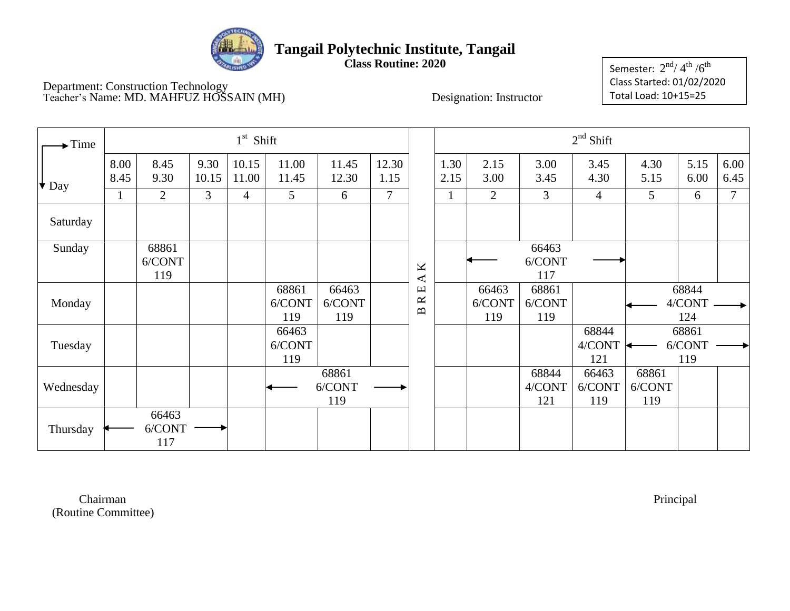

**Class Routine: 2020**

Department: Construction Technology Teacher's Name: MD. MAHFUZ HOSSAIN (MH) Designation: Instructor

Semester:  $2^{\rm nd}$ / $4^{\rm th}$  / $6^{\rm th}$ Class Started: 01/02/2020 Total Load: 10+15=25

| $\blacktriangleright$ Time |              |                        |                | $1st$ Shift    |                        |                        |                |                                     |              |                        |                        | $2nd$ Shift            |                        |                        |              |
|----------------------------|--------------|------------------------|----------------|----------------|------------------------|------------------------|----------------|-------------------------------------|--------------|------------------------|------------------------|------------------------|------------------------|------------------------|--------------|
| $\big  \big\{\big\}$ Day   | 8.00<br>8.45 | 8.45<br>9.30           | 9.30<br>10.15  | 10.15<br>11.00 | 11.00<br>11.45         | 11.45<br>12.30         | 12.30<br>1.15  |                                     | 1.30<br>2.15 | 2.15<br>3.00           | 3.00<br>3.45           | 3.45<br>4.30           | 4.30<br>5.15           | 5.15<br>6.00           | 6.00<br>6.45 |
|                            |              | $\overline{2}$         | $\mathfrak{Z}$ | $\overline{4}$ | $5\overline{)}$        | 6                      | $\overline{7}$ |                                     |              | $\overline{2}$         | 3                      | $\overline{4}$         | $5\overline{)}$        | 6                      | $\tau$       |
| Saturday                   |              |                        |                |                |                        |                        |                |                                     |              |                        |                        |                        |                        |                        |              |
| Sunday                     |              | 68861<br>6/CONT<br>119 |                |                |                        |                        |                | K<br>$\blacktriangleleft$           |              |                        | 66463<br>6/CONT<br>117 |                        |                        |                        |              |
| Monday                     |              |                        |                |                | 68861<br>6/CONT<br>119 | 66463<br>6/CONT<br>119 |                | Е<br>$\approx$<br>$\mathbf{\Omega}$ |              | 66463<br>6/CONT<br>119 | 68861<br>6/CONT<br>119 |                        |                        | 68844<br>4/CONT<br>124 |              |
| Tuesday                    |              |                        |                |                | 66463<br>6/CONT<br>119 |                        |                |                                     |              |                        |                        | 68844<br>4/CONT<br>121 |                        | 68861<br>6/CONT<br>119 |              |
| Wednesday                  |              |                        |                |                |                        | 68861<br>6/CONT<br>119 |                |                                     |              |                        | 68844<br>4/CONT<br>121 | 66463<br>6/CONT<br>119 | 68861<br>6/CONT<br>119 |                        |              |
| Thursday                   |              | 66463<br>6/CONT<br>117 |                |                |                        |                        |                |                                     |              |                        |                        |                        |                        |                        |              |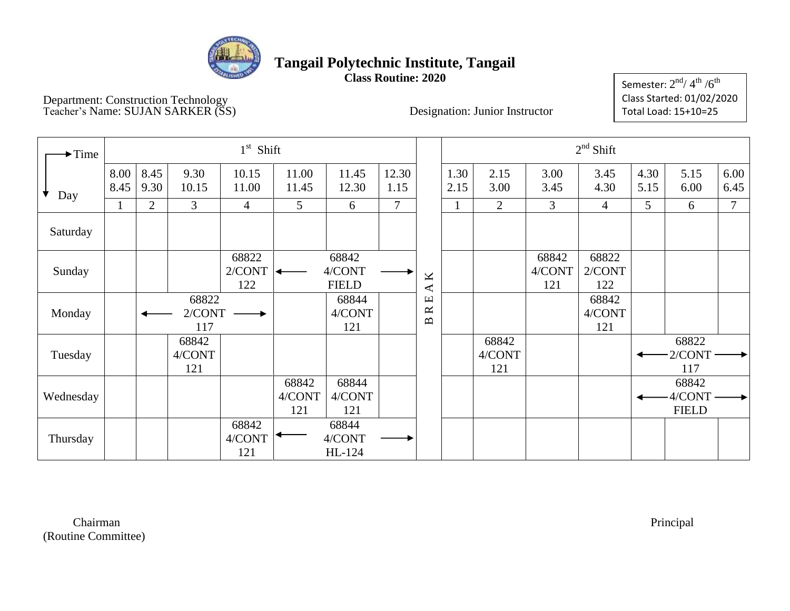

Department: Construction Technology Teacher's Name: SUJAN SARKER (SS) Designation: Junior Instructor

Semester:  $2^{\rm nd}$ / 4 $^{\rm th}$  / $6^{\rm th}$ Class Started: 01/02/2020 Total Load: 15+10=25

| $\rightarrow$ Time |              |                |                        | $1st$ Shift            |                        |                                 |               |                                                                    |              |                        |                        | $2nd$ Shift            |              |                                 |                |
|--------------------|--------------|----------------|------------------------|------------------------|------------------------|---------------------------------|---------------|--------------------------------------------------------------------|--------------|------------------------|------------------------|------------------------|--------------|---------------------------------|----------------|
| ╈<br>Day           | 8.00<br>8.45 | 8.45<br>9.30   | 9.30<br>10.15          | 10.15<br>11.00         | 11.00<br>11.45         | 11.45<br>12.30                  | 12.30<br>1.15 |                                                                    | 1.30<br>2.15 | 2.15<br>3.00           | 3.00<br>3.45           | 3.45<br>4.30           | 4.30<br>5.15 | 5.15<br>6.00                    | 6.00<br>6.45   |
|                    |              | $\overline{2}$ | $\mathfrak{Z}$         | 4                      | $5\overline{)}$        | 6                               | 7             |                                                                    |              | $\overline{2}$         | 3                      | 4                      | 5            | 6                               | $\overline{7}$ |
| Saturday           |              |                |                        |                        |                        |                                 |               |                                                                    |              |                        |                        |                        |              |                                 |                |
| Sunday             |              |                |                        | 68822<br>2/CONT<br>122 | ↞                      | 68842<br>4/CONT<br><b>FIELD</b> |               | K<br>⋖                                                             |              |                        | 68842<br>4/CONT<br>121 | 68822<br>2/CONT<br>122 |              |                                 |                |
| Monday             |              |                | 68822<br>2/CONT<br>117 |                        |                        | 68844<br>4/CONT<br>121          |               | $\boxed{\underline{\mathbf{L}}}$<br>$\approx$<br>$\mathbf{\Omega}$ |              |                        |                        | 68842<br>4/CONT<br>121 |              |                                 |                |
| Tuesday            |              |                | 68842<br>4/CONT<br>121 |                        |                        |                                 |               |                                                                    |              | 68842<br>4/CONT<br>121 |                        |                        |              | 68822<br>2/CONT<br>117          |                |
| Wednesday          |              |                |                        |                        | 68842<br>4/CONT<br>121 | 68844<br>4/CONT<br>121          |               |                                                                    |              |                        |                        |                        |              | 68842<br>4/CONT<br><b>FIELD</b> |                |
| Thursday           |              |                |                        | 68842<br>4/CONT<br>121 |                        | 68844<br>4/CONT<br>HL-124       |               |                                                                    |              |                        |                        |                        |              |                                 |                |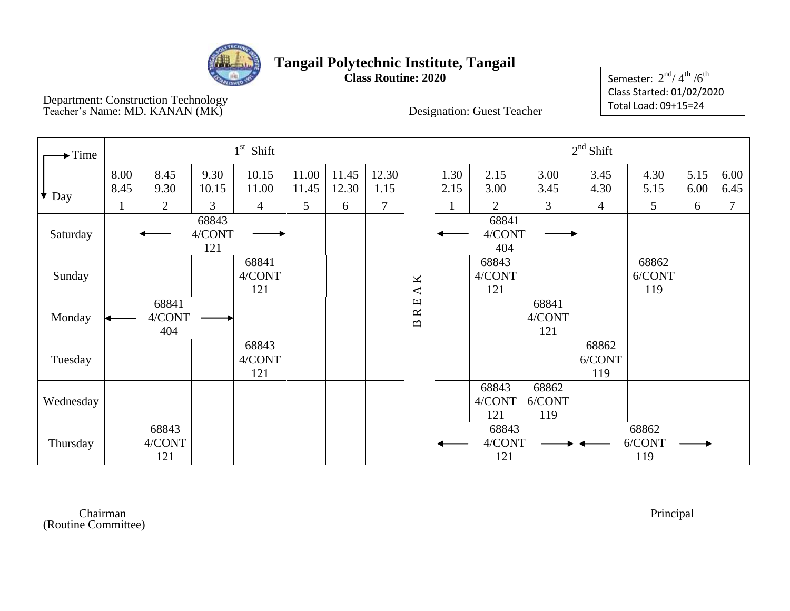

Department: Construction Technology Teacher's Name: MD. KANAN (MK)

Semester:  $2^{\text{nd}}$ / $4^{\text{th}}$  / $6^{\text{th}}$ Class Started: 01/02/2020 Total Load: 09+15=24

| $\blacktriangleright$ Time |              |                        |                        | $1st$ Shift            |                 |                |                |                                                  |              |                        |                          | $2nd$ Shift            |                        |              |                |
|----------------------------|--------------|------------------------|------------------------|------------------------|-----------------|----------------|----------------|--------------------------------------------------|--------------|------------------------|--------------------------|------------------------|------------------------|--------------|----------------|
| $\star$ Day                | 8.00<br>8.45 | 8.45<br>9.30           | 9.30<br>10.15          | 10.15<br>11.00         | 11.00<br>11.45  | 11.45<br>12.30 | 12.30<br>1.15  |                                                  | 1.30<br>2.15 | 2.15<br>3.00           | 3.00<br>3.45             | 3.45<br>4.30           | 4.30<br>5.15           | 5.15<br>6.00 | 6.00<br>6.45   |
|                            | $\bf{I}$     | $\overline{2}$         | 3                      | $\overline{4}$         | $5\overline{)}$ | 6              | $\overline{7}$ |                                                  |              | $\overline{2}$         | 3                        | $\overline{4}$         | 5                      | 6            | $\overline{7}$ |
| Saturday                   |              |                        | 68843<br>4/CONT<br>121 |                        |                 |                |                |                                                  |              | 68841<br>4/CONT<br>404 |                          |                        |                        |              |                |
| Sunday                     |              |                        |                        | 68841<br>4/CONT<br>121 |                 |                |                | $\mathbf{\underline{K}}$<br>$\blacktriangleleft$ |              | 68843<br>4/CONT<br>121 |                          |                        | 68862<br>6/CONT<br>119 |              |                |
| Monday                     |              | 68841<br>4/CONT<br>404 |                        |                        |                 |                |                | $\Xi$<br>$\approx$<br>$\mathbf{p}$               |              |                        | 68841<br>4/CONT<br>121   |                        |                        |              |                |
| Tuesday                    |              |                        |                        | 68843<br>4/CONT<br>121 |                 |                |                |                                                  |              |                        |                          | 68862<br>6/CONT<br>119 |                        |              |                |
| Wednesday                  |              |                        |                        |                        |                 |                |                |                                                  |              | 68843<br>4/CONT<br>121 | 68862<br>$6/CONT$<br>119 |                        |                        |              |                |
| Thursday                   |              | 68843<br>4/CONT<br>121 |                        |                        |                 |                |                |                                                  |              | 68843<br>4/CONT<br>121 |                          |                        | 68862<br>6/CONT<br>119 |              |                |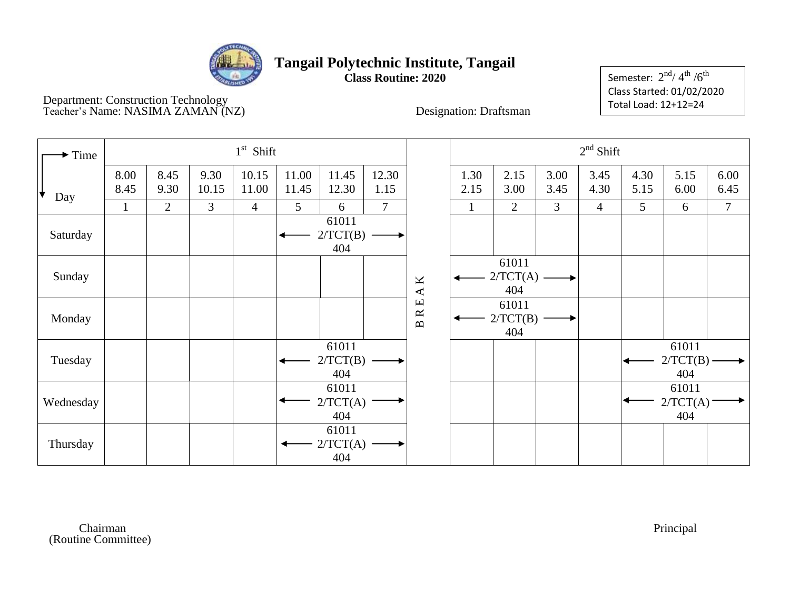

Department: Construction Technology Teacher's Name: NASIMA ZAMAN (NZ) Designation: Draftsman

Semester:  $2^{\text{nd}}$ / $4^{\text{th}}$  / $6^{\text{th}}$ Class Started: 01/02/2020 Total Load: 12+12=24

| Time      |              |              |               | $1st$ Shift    |                |                          |               |            |              |                              |                | $2nd$ Shift  |              |                              |               |
|-----------|--------------|--------------|---------------|----------------|----------------|--------------------------|---------------|------------|--------------|------------------------------|----------------|--------------|--------------|------------------------------|---------------|
| ╈<br>Day  | 8.00<br>8.45 | 8.45<br>9.30 | 9.30<br>10.15 | 10.15<br>11.00 | 11.00<br>11.45 | 11.45<br>12.30           | 12.30<br>1.15 |            | 1.30<br>2.15 | 2.15<br>3.00                 | 3.00<br>3.45   | 3.45<br>4.30 | 4.30<br>5.15 | 5.15<br>6.00                 | 6.00<br>6.45  |
|           |              | 2            | 3             | $\overline{4}$ | 5              | 6                        | $\tau$        |            | $\mathbf{1}$ | 2                            | $\mathfrak{Z}$ | 4            | 5            | 6                            | $\tau$        |
| Saturday  |              |              |               |                |                | 61011<br>2/TCT(B)<br>404 |               |            |              |                              |                |              |              |                              |               |
| Sunday    |              |              |               |                |                |                          |               | A K        |              | 61011<br>$2/TCT(A)$ –<br>404 |                |              |              |                              |               |
| Monday    |              |              |               |                |                |                          |               | <b>BRE</b> |              | 61011<br>2/TCT(B)<br>404     |                |              |              |                              |               |
| Tuesday   |              |              |               |                |                | 61011<br>2/TCT(B)<br>404 |               |            |              |                              |                |              |              | 61011<br>$2/TCT(B)$ –<br>404 | $\rightarrow$ |
| Wednesday |              |              |               |                |                | 61011<br>2/TCT(A)<br>404 |               |            |              |                              |                |              |              | 61011<br>2/TCT(A)<br>404     |               |
| Thursday  |              |              |               |                |                | 61011<br>2/TCT(A)<br>404 |               |            |              |                              |                |              |              |                              |               |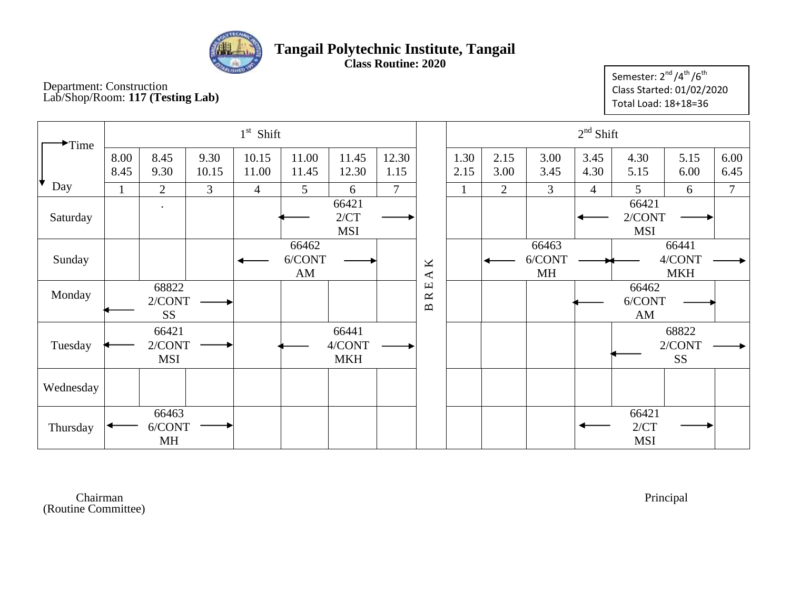

**Class Routine: 2020**

Department: Construction Lab/Shop/Room: **117 (Testing Lab)** Semester:  $2^{nd}/4^{th}/6^{th}$ Class Started: 01/02/2020 Total Load: 18+18=36

| Time      |              |                                    |               | $1st$ Shift    |                                           |                               |                |                                        |              |                |                       | $2nd$ Shift  |                                           |                                    |                |
|-----------|--------------|------------------------------------|---------------|----------------|-------------------------------------------|-------------------------------|----------------|----------------------------------------|--------------|----------------|-----------------------|--------------|-------------------------------------------|------------------------------------|----------------|
|           | 8.00<br>8.45 | 8.45<br>9.30                       | 9.30<br>10.15 | 10.15<br>11.00 | 11.00<br>11.45                            | 11.45<br>12.30                | 12.30<br>1.15  |                                        | 1.30<br>2.15 | 2.15<br>3.00   | 3.00<br>3.45          | 3.45<br>4.30 | 4.30<br>5.15                              | 5.15<br>6.00                       | 6.00<br>6.45   |
| Day       | $\mathbf{I}$ | $\overline{2}$                     | 3             | $\overline{4}$ | 5                                         | 6                             | $\overline{7}$ |                                        | $\mathbf{1}$ | $\overline{2}$ | 3                     | 4            | 5                                         | 6                                  | $\overline{7}$ |
| Saturday  |              |                                    |               |                |                                           | 66421<br>2/CT<br><b>MSI</b>   |                |                                        |              |                |                       |              | 66421<br>2/CONT<br><b>MSI</b>             |                                    |                |
| Sunday    |              |                                    |               |                | 66462<br>6/CONT<br>$\mathbf{A}\mathbf{M}$ |                               |                | $\pmb{\times}$<br>$\blacktriangleleft$ |              |                | 66463<br>6/CONT<br>MH |              |                                           | 66441<br>4/CONT<br><b>MKH</b>      |                |
| Monday    |              | 68822<br>2/CONT<br>SS <sub>1</sub> |               |                |                                           |                               |                | 口<br>$\approx$<br>$\mathbf{D}$         |              |                |                       |              | 66462<br>6/CONT<br>$\mathbf{A}\mathbf{M}$ |                                    |                |
| Tuesday   |              | 66421<br>2/CONT<br><b>MSI</b>      |               |                |                                           | 66441<br>4/CONT<br><b>MKH</b> |                |                                        |              |                |                       |              |                                           | 68822<br>2/CONT<br>SS <sub>1</sub> |                |
| Wednesday |              |                                    |               |                |                                           |                               |                |                                        |              |                |                       |              |                                           |                                    |                |
| Thursday  |              | 66463<br>6/CONT<br>MH              |               |                |                                           |                               |                |                                        |              |                |                       |              | 66421<br>2/CT<br><b>MSI</b>               |                                    |                |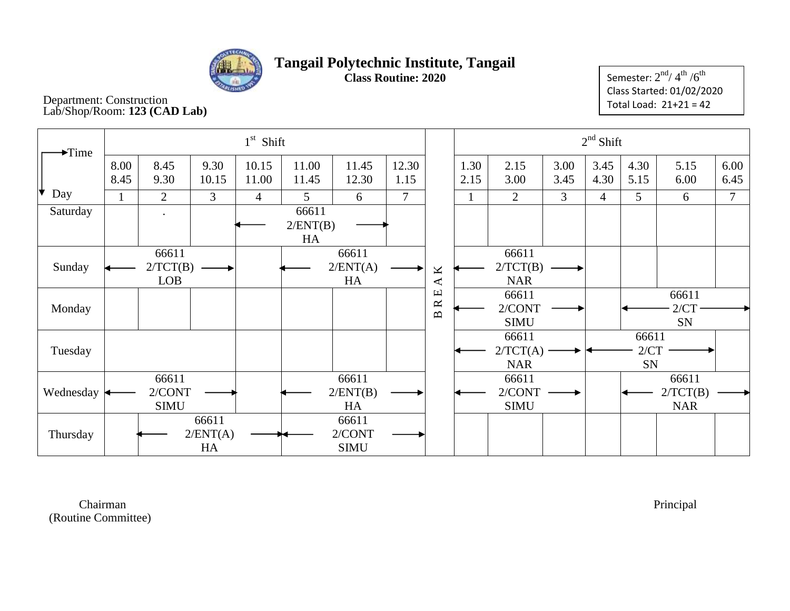

Semester:  $2^{\rm nd}$ /  $4^{\rm th}$  / $6^{\rm th}$ Class Started: 01/02/2020 Total Load: 21+21 = 42

#### Department: Construction Lab/Shop/Room: **123 (CAD Lab)**

| $\blacktriangleright$ Time |              |                                 |                         | $1st$ Shift    |                         |                                |                |                                            |              |                                 | $2nd$ Shift  |                |                     |                                 |                |
|----------------------------|--------------|---------------------------------|-------------------------|----------------|-------------------------|--------------------------------|----------------|--------------------------------------------|--------------|---------------------------------|--------------|----------------|---------------------|---------------------------------|----------------|
|                            | 8.00<br>8.45 | 8.45<br>9.30                    | 9.30<br>10.15           | 10.15<br>11.00 | 11.00<br>11.45          | 11.45<br>12.30                 | 12.30<br>1.15  |                                            | 1.30<br>2.15 | 2.15<br>3.00                    | 3.00<br>3.45 | 3.45<br>4.30   | 4.30<br>5.15        | 5.15<br>6.00                    | 6.00<br>6.45   |
| Iv<br>Day                  |              | 2                               | $\overline{3}$          | $\overline{4}$ | 5                       | 6                              | $\overline{7}$ |                                            |              | $\overline{2}$                  | 3            | $\overline{4}$ | 5                   | 6                               | $\overline{7}$ |
| Saturday                   |              |                                 |                         |                | 66611<br>2/ENT(B)<br>HA |                                |                |                                            |              |                                 |              |                |                     |                                 |                |
| Sunday                     |              | 66611<br>2/TCT(B)<br><b>LOB</b> |                         |                |                         | 66611<br>2/ENT(A)<br>HA        |                | K<br>$\blacktriangleleft$                  |              | 66611<br>2/TCT(B)<br><b>NAR</b> |              |                |                     |                                 |                |
| Monday                     |              |                                 |                         |                |                         |                                |                | $\mathbf \Xi$<br>$\approx$<br>$\mathbf{p}$ |              | 66611<br>2/CONT<br><b>SIMU</b>  |              |                |                     | 66611<br>2/CT<br>SN             |                |
| Tuesday                    |              |                                 |                         |                |                         |                                |                |                                            |              | 66611<br>2/TCT(A)<br><b>NAR</b> |              |                | 66611<br>2/CT<br>SN |                                 |                |
| Wednesday                  |              | 66611<br>2/CONT<br><b>SIMU</b>  |                         |                |                         | 66611<br>2/ENT(B)<br>HA        |                |                                            |              | 66611<br>2/CONT<br><b>SIMU</b>  |              |                |                     | 66611<br>2/TCT(B)<br><b>NAR</b> |                |
| Thursday                   |              |                                 | 66611<br>2/ENT(A)<br>HA |                |                         | 66611<br>2/CONT<br><b>SIMU</b> |                |                                            |              |                                 |              |                |                     |                                 |                |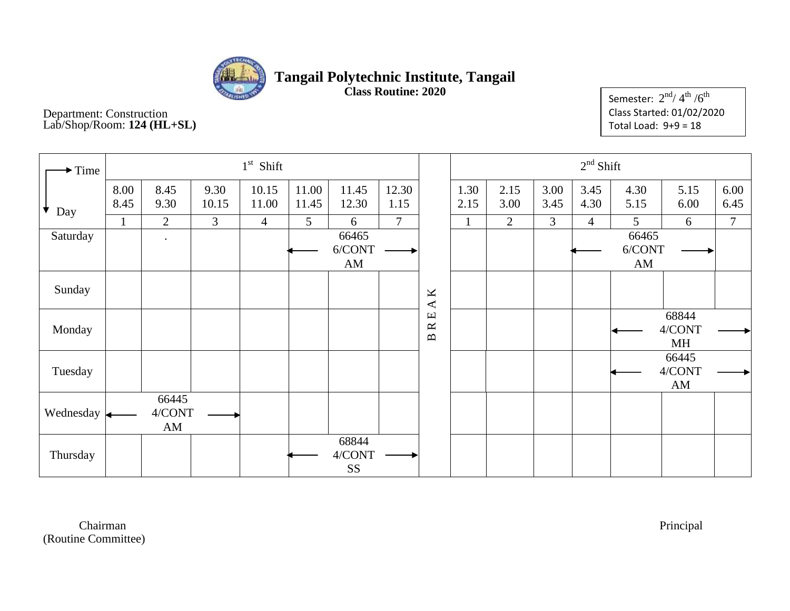

**Class Routine: 2020**

Department: Construction Lab/Shop/Room: **124 (HL+SL)**

Semester:  $2^{\rm nd}$ / $4^{\rm th}$  / $6^{\rm th}$ Class Started: 01/02/2020 Total Load:  $9+9 = 18$ 

| $\blacktriangleright$ Time |              |                       |               | $1st$ Shift    |                |                              |                |                                                                            |              |              |              | $2nd$ Shift  |                       |                                           |                |
|----------------------------|--------------|-----------------------|---------------|----------------|----------------|------------------------------|----------------|----------------------------------------------------------------------------|--------------|--------------|--------------|--------------|-----------------------|-------------------------------------------|----------------|
| ▼<br>Day                   | 8.00<br>8.45 | 8.45<br>9.30          | 9.30<br>10.15 | 10.15<br>11.00 | 11.00<br>11.45 | 11.45<br>12.30               | 12.30<br>1.15  |                                                                            | 1.30<br>2.15 | 2.15<br>3.00 | 3.00<br>3.45 | 3.45<br>4.30 | 4.30<br>5.15          | 5.15<br>6.00                              | 6.00<br>6.45   |
|                            | 1            | $\overline{2}$        | 3             | $\overline{4}$ | 5              | 6                            | $\overline{7}$ |                                                                            |              | 2            | 3            | 4            | 5                     | 6                                         | $\overline{7}$ |
| Saturday                   |              | $\bullet$             |               |                |                | 66465<br>6/CONT<br>AM        |                |                                                                            |              |              |              |              | 66465<br>6/CONT<br>AM |                                           |                |
| Sunday                     |              |                       |               |                |                |                              |                | $\mathbf{\underline{K}}$<br>$\blacktriangleleft$                           |              |              |              |              |                       |                                           |                |
| Monday                     |              |                       |               |                |                |                              |                | $\hfill \square$<br>$\approx$<br>$\mathbf{\underline{\underline{\alpha}}}$ |              |              |              |              |                       | 68844<br>4/CONT<br>MH                     |                |
| Tuesday                    |              |                       |               |                |                |                              |                |                                                                            |              |              |              |              |                       | 66445<br>4/CONT<br>$\mathbf{A}\mathbf{M}$ |                |
| Wednesday                  |              | 66445<br>4/CONT<br>AM |               |                |                |                              |                |                                                                            |              |              |              |              |                       |                                           |                |
| Thursday                   |              |                       |               |                |                | 68844<br>4/CONT<br><b>SS</b> |                |                                                                            |              |              |              |              |                       |                                           |                |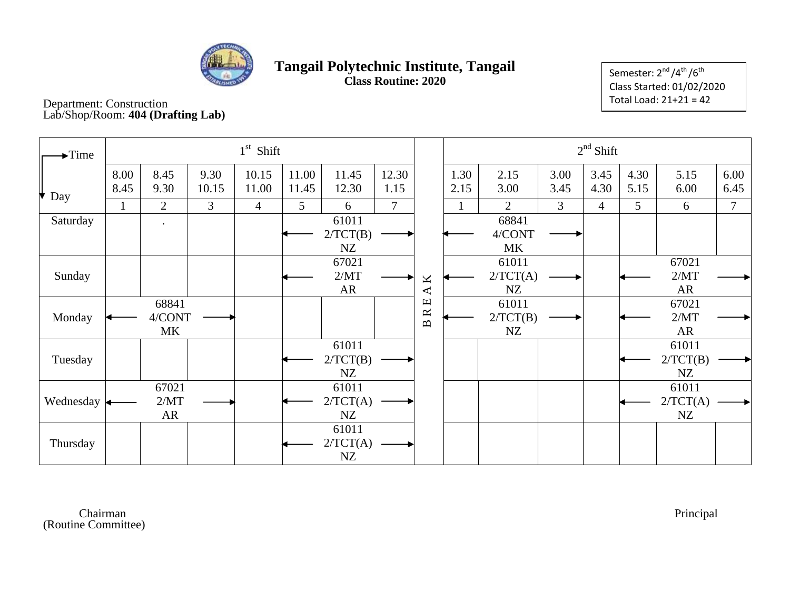

Semester: 2<sup>nd</sup>/4<sup>th</sup>/6<sup>th</sup> Class Started: 01/02/2020 Total Load: 21+21 = 42

Department: Construction Lab/Shop/Room: **404 (Drafting Lab)**

| $\blacktriangleright$ Time |              |                       |                | $1st$ Shift    |                |                         |                |                                            |              |                              |                | $2nd$ Shift    |                |                            |                |
|----------------------------|--------------|-----------------------|----------------|----------------|----------------|-------------------------|----------------|--------------------------------------------|--------------|------------------------------|----------------|----------------|----------------|----------------------------|----------------|
| ₩<br>Day                   | 8.00<br>8.45 | 8.45<br>9.30          | 9.30<br>10.15  | 10.15<br>11.00 | 11.00<br>11.45 | 11.45<br>12.30          | 12.30<br>1.15  |                                            | 1.30<br>2.15 | 2.15<br>3.00                 | 3.00<br>3.45   | 3.45<br>4.30   | 4.30<br>5.15   | 5.15<br>6.00               | 6.00<br>6.45   |
|                            |              | $\overline{2}$        | $\overline{3}$ | $\overline{4}$ | $5^{\circ}$    | 6                       | $\overline{7}$ |                                            |              | $\overline{2}$               | $\mathfrak{Z}$ | $\overline{4}$ | 5 <sup>5</sup> | 6                          | $\overline{7}$ |
| Saturday                   |              |                       |                |                |                | 61011<br>2/TCT(B)<br>NZ |                |                                            |              | 68841<br>4/CONT<br><b>MK</b> |                |                |                |                            |                |
| Sunday                     |              |                       |                |                |                | 67021<br>2/MT<br>AR     |                | Κ<br>$\blacktriangleleft$                  |              | 61011<br>2/TCT(A)<br>NZ      |                |                |                | 67021<br>2/MT<br><b>AR</b> |                |
| Monday                     |              | 68841<br>4/CONT<br>MK |                |                |                |                         |                | $\mathbf \Xi$<br>$\approx$<br>$\mathbf{p}$ |              | 61011<br>2/TCT(B)<br>NZ      |                |                |                | 67021<br>2/MT<br>AR        |                |
| Tuesday                    |              |                       |                |                |                | 61011<br>2/TCT(B)<br>NZ |                |                                            |              |                              |                |                |                | 61011<br>2/TCT(B)<br>NZ    |                |
| Wednesday                  |              | 67021<br>2/MT<br>AR   |                |                |                | 61011<br>2/TCT(A)<br>NZ |                |                                            |              |                              |                |                |                | 61011<br>2/TCT(A)<br>NZ    |                |
| Thursday                   |              |                       |                |                |                | 61011<br>2/TCT(A)<br>NZ |                |                                            |              |                              |                |                |                |                            |                |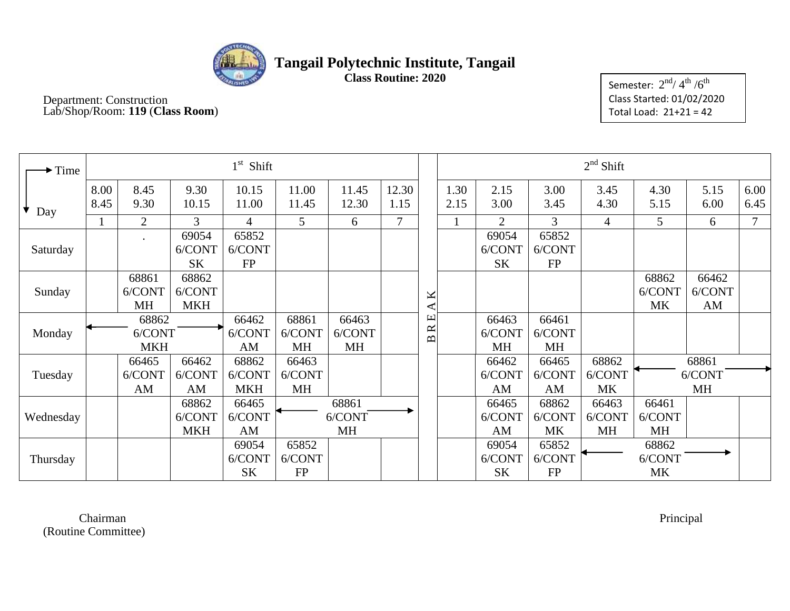

Department: Construction Lab/Shop/Room: **119** (**Class Room**)

Semester:  $2^{\rm nd}$ / $4^{\rm th}$  / $6^{\rm th}$ Class Started: 01/02/2020 Total Load: 21+21 = 42

| $\rightarrow$ Time |                               |                              |                               | $1st$ Shift                   |                              |                              |                                            |        |                              |                              | $2nd$ Shift                  |                              |                              |                              |              |
|--------------------|-------------------------------|------------------------------|-------------------------------|-------------------------------|------------------------------|------------------------------|--------------------------------------------|--------|------------------------------|------------------------------|------------------------------|------------------------------|------------------------------|------------------------------|--------------|
| Day                | 8.00<br>8.45                  | 8.45<br>9.30                 | 9.30<br>10.15                 | 10.15<br>11.00                | 11.00<br>11.45               | 11.45<br>12.30               | 12.30<br>1.15                              |        | 1.30<br>2.15                 | 2.15<br>3.00                 | 3.00<br>3.45                 | 3.45<br>4.30                 | 4.30<br>5.15                 | 5.15<br>6.00                 | 6.00<br>6.45 |
|                    |                               | $\overline{2}$               | 3                             | $\overline{4}$                | 5                            | 6                            | 7                                          |        |                              | $\overline{2}$               | 3                            | $\overline{4}$               | 5                            | 6                            | 7            |
| Saturday           |                               |                              | 69054<br>6/CONT<br><b>SK</b>  | 65852<br>6/CONT<br><b>FP</b>  |                              |                              |                                            |        |                              | 69054<br>6/CONT<br><b>SK</b> | 65852<br>6/CONT<br><b>FP</b> |                              |                              |                              |              |
| Sunday             |                               | 68861<br>6/CONT<br><b>MH</b> | 68862<br>6/CONT<br><b>MKH</b> |                               |                              |                              |                                            | K<br>◀ |                              |                              |                              |                              | 68862<br>6/CONT<br><b>MK</b> | 66462<br>6/CONT<br>AM        |              |
| Monday             | 68862<br>6/CONT<br><b>MKH</b> |                              | 66462<br>6/CONT<br>AM         | 68861<br>6/CONT<br><b>MH</b>  | 66463<br>6/CONT<br>MH        |                              | $\mathbf \mu$<br>$\approx$<br>$\mathbf{p}$ |        | 66463<br>6/CONT<br><b>MH</b> | 66461<br>6/CONT<br>MH        |                              |                              |                              |                              |              |
| Tuesday            |                               | 66465<br>6/CONT<br>AM        | 66462<br>6/CONT<br>AM         | 68862<br>6/CONT<br><b>MKH</b> | 66463<br>6/CONT<br><b>MH</b> |                              |                                            |        |                              | 66462<br>6/CONT<br>AM        | 66465<br>6/CONT<br>AM        | 68862<br>6/CONT<br><b>MK</b> |                              | 68861<br>6/CONT<br><b>MH</b> |              |
| Wednesday          |                               |                              | 68862<br>6/CONT<br><b>MKH</b> | 66465<br>6/CONT<br>AM         |                              | 68861<br>6/CONT<br><b>MH</b> |                                            |        |                              | 66465<br>6/CONT<br>AM        | 68862<br>6/CONT<br><b>MK</b> | 66463<br>6/CONT<br><b>MH</b> | 66461<br>6/CONT<br><b>MH</b> |                              |              |
| Thursday           |                               |                              |                               | 69054<br>6/CONT<br><b>SK</b>  | 65852<br>6/CONT<br><b>FP</b> |                              |                                            |        |                              | 69054<br>6/CONT<br><b>SK</b> | 65852<br>6/CONT<br><b>FP</b> |                              | 68862<br>6/CONT<br><b>MK</b> |                              |              |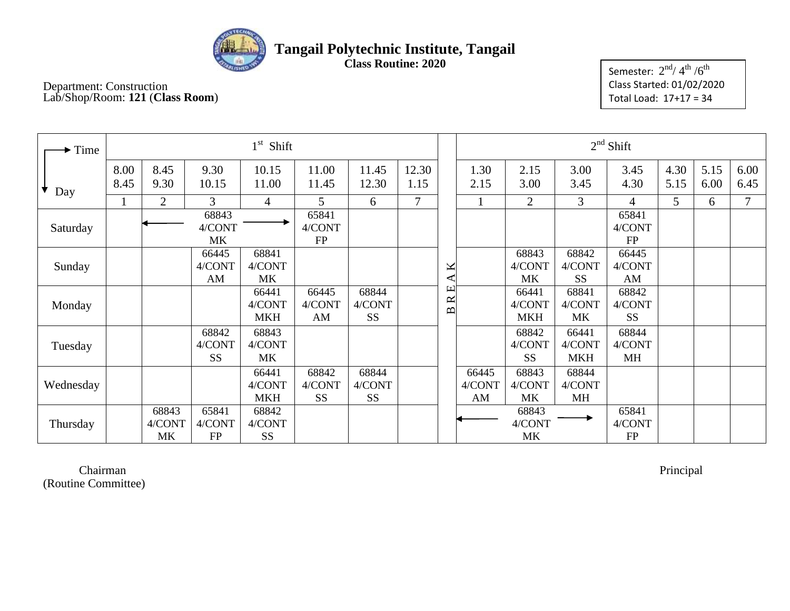

**Class Routine: 2020**

Semester:  $2^{\rm nd}$ / $4^{\rm th}$  / $6^{\rm th}$ Class Started: 01/02/2020 Total Load: 17+17 = 34

#### Department: Construction Lab/Shop/Room: **121** (**Class Room**)

| $\blacktriangleright$ Time |              |                       |                              | $1st$ Shift                   |                              |                              |               |                          |                       |                               | $2nd$ Shift                   |                              |              |              |              |
|----------------------------|--------------|-----------------------|------------------------------|-------------------------------|------------------------------|------------------------------|---------------|--------------------------|-----------------------|-------------------------------|-------------------------------|------------------------------|--------------|--------------|--------------|
| Day                        | 8.00<br>8.45 | 8.45<br>9.30          | 9.30<br>10.15                | 10.15<br>11.00                | 11.00<br>11.45               | 11.45<br>12.30               | 12.30<br>1.15 |                          | 1.30<br>2.15          | 2.15<br>3.00                  | 3.00<br>3.45                  | 3.45<br>4.30                 | 4.30<br>5.15 | 5.15<br>6.00 | 6.00<br>6.45 |
|                            |              | $\overline{2}$        | 3                            | $\overline{4}$                | 5                            | 6                            | $\tau$        |                          |                       | $\overline{2}$                | $\overline{3}$                | 4                            | 5            | 6            | $\mathbf{r}$ |
| Saturday                   |              |                       | 68843<br>4/CONT<br>MK        |                               | 65841<br>4/CONT<br>FP        |                              |               |                          |                       |                               |                               | 65841<br>4/CONT<br><b>FP</b> |              |              |              |
| Sunday                     |              |                       | 66445<br>4/CONT<br>AM        | 68841<br>4/CONT<br><b>MK</b>  |                              |                              |               | K<br>⋖                   |                       | 68843<br>4/CONT<br>MK         | 68842<br>4/CONT<br><b>SS</b>  | 66445<br>4/CONT<br>AM        |              |              |              |
| Monday                     |              |                       |                              | 66441<br>4/CONT<br><b>MKH</b> | 66445<br>4/CONT<br>AM        | 68844<br>4/CONT<br><b>SS</b> |               | R E<br>$\mathbf{\Omega}$ |                       | 66441<br>4/CONT<br><b>MKH</b> | 68841<br>4/CONT<br>MK         | 68842<br>4/CONT<br><b>SS</b> |              |              |              |
| Tuesday                    |              |                       | 68842<br>4/CONT<br><b>SS</b> | 68843<br>4/CONT<br><b>MK</b>  |                              |                              |               |                          |                       | 68842<br>4/CONT<br><b>SS</b>  | 66441<br>4/CONT<br><b>MKH</b> | 68844<br>4/CONT<br>MH        |              |              |              |
| Wednesday                  |              |                       |                              | 66441<br>4/CONT<br><b>MKH</b> | 68842<br>4/CONT<br><b>SS</b> | 68844<br>4/CONT<br><b>SS</b> |               |                          | 66445<br>4/CONT<br>AM | 68843<br>4/CONT<br>MK         | 68844<br>4/CONT<br><b>MH</b>  |                              |              |              |              |
| Thursday                   |              | 68843<br>4/CONT<br>MK | 65841<br>4/CONT<br>FP        | 68842<br>4/CONT<br><b>SS</b>  |                              |                              |               |                          |                       | 68843<br>4/CONT<br>MK         |                               | 65841<br>4/CONT<br><b>FP</b> |              |              |              |